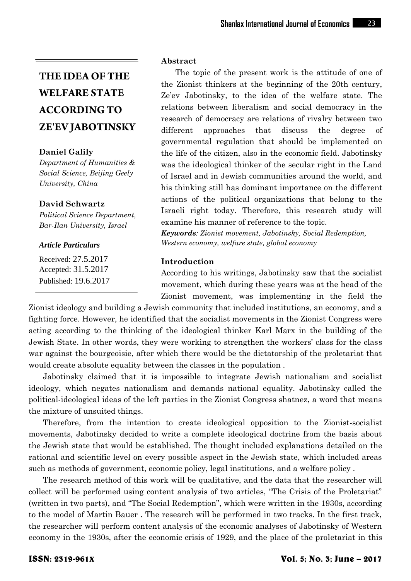## **Daniel Galily**

*Department of Humanities & Social Science, Beijing Geely University, China*

### **David Schwartz**

*Political Science Department, Bar-Ilan University, Israel*

#### *Article Particulars*

Received: 27.5.2017 Accepted: 31.5.2017 Published: 19.6.2017

### **Abstract**

The topic of the present work is the attitude of one of the Zionist thinkers at the beginning of the 20th century, Ze'ev Jabotinsky, to the idea of the welfare state. The relations between liberalism and social democracy in the research of democracy are relations of rivalry between two different approaches that discuss the degree of governmental regulation that should be implemented on the life of the citizen, also in the economic field. Jabotinsky was the ideological thinker of the secular right in the Land of Israel and in Jewish communities around the world, and his thinking still has dominant importance on the different actions of the political organizations that belong to the Israeli right today. Therefore, this research study will examine his manner of reference to the topic.

*Keywords: Zionist movement, Jabotinsky, Social Redemption, Western economy, welfare state, global economy*

### **Introduction**

According to his writings, Jabotinsky saw that the socialist movement, which during these years was at the head of the Zionist movement, was implementing in the field the

Zionist ideology and building a Jewish community that included institutions, an economy, and a fighting force. However, he identified that the socialist movements in the Zionist Congress were acting according to the thinking of the ideological thinker Karl Marx in the building of the Jewish State. In other words, they were working to strengthen the workers' class for the class war against the bourgeoisie, after which there would be the dictatorship of the proletariat that would create absolute equality between the classes in the population .

Jabotinsky claimed that it is impossible to integrate Jewish nationalism and socialist ideology, which negates nationalism and demands national equality. Jabotinsky called the political-ideological ideas of the left parties in the Zionist Congress shatnez, a word that means the mixture of unsuited things.

Therefore, from the intention to create ideological opposition to the Zionist-socialist movements, Jabotinsky decided to write a complete ideological doctrine from the basis about the Jewish state that would be established. The thought included explanations detailed on the rational and scientific level on every possible aspect in the Jewish state, which included areas such as methods of government, economic policy, legal institutions, and a welfare policy .

The research method of this work will be qualitative, and the data that the researcher will collect will be performed using content analysis of two articles, "The Crisis of the Proletariat" (written in two parts), and "The Social Redemption", which were written in the 1930s, according to the model of Martin Bauer . The research will be performed in two tracks. In the first track, the researcher will perform content analysis of the economic analyses of Jabotinsky of Western economy in the 1930s, after the economic crisis of 1929, and the place of the proletariat in this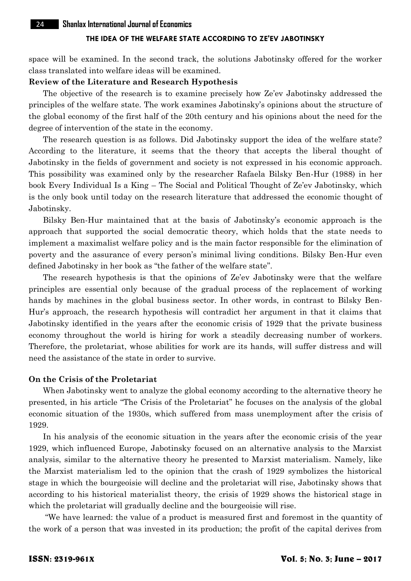space will be examined. In the second track, the solutions Jabotinsky offered for the worker class translated into welfare ideas will be examined.

#### **Review of the Literature and Research Hypothesis**

The objective of the research is to examine precisely how Ze'ev Jabotinsky addressed the principles of the welfare state. The work examines Jabotinsky's opinions about the structure of the global economy of the first half of the 20th century and his opinions about the need for the degree of intervention of the state in the economy.

The research question is as follows. Did Jabotinsky support the idea of the welfare state? According to the literature, it seems that the theory that accepts the liberal thought of Jabotinsky in the fields of government and society is not expressed in his economic approach. This possibility was examined only by the researcher Rafaela Bilsky Ben-Hur (1988) in her book Every Individual Is a King – The Social and Political Thought of Ze'ev Jabotinsky, which is the only book until today on the research literature that addressed the economic thought of Jabotinsky.

Bilsky Ben-Hur maintained that at the basis of Jabotinsky's economic approach is the approach that supported the social democratic theory, which holds that the state needs to implement a maximalist welfare policy and is the main factor responsible for the elimination of poverty and the assurance of every person's minimal living conditions. Bilsky Ben-Hur even defined Jabotinsky in her book as "the father of the welfare state".

The research hypothesis is that the opinions of Ze'ev Jabotinsky were that the welfare principles are essential only because of the gradual process of the replacement of working hands by machines in the global business sector. In other words, in contrast to Bilsky Ben- Hur's approach, the research hypothesis will contradict her argument in that it claims that Jabotinsky identified in the years after the economic crisis of 1929 that the private business economy throughout the world is hiring for work a steadily decreasing number of workers. Therefore, the proletariat, whose abilities for work are its hands, will suffer distress and will need the assistance of the state in order to survive.

## **On the Crisis of the Proletariat**

When Jabotinsky went to analyze the global economy according to the alternative theory he presented, in his article "The Crisis of the Proletariat" he focuses on the analysis of the global economic situation of the 1930s, which suffered from mass unemployment after the crisis of 1929.

In his analysis of the economic situation in the years after the economic crisis of the year 1929, which influenced Europe, Jabotinsky focused on an alternative analysis to the Marxist analysis, similar to the alternative theory he presented to Marxist materialism. Namely, like the Marxist materialism led to the opinion that the crash of 1929 symbolizes the historical stage in which the bourgeoisie will decline and the proletariat will rise, Jabotinsky shows that according to his historical materialist theory, the crisis of 1929 shows the historical stage in which the proletariat will gradually decline and the bourgeoisie will rise.

"We have learned: the value of a product is measured first and foremost in the quantity of the work of a person that was invested in its production; the profit of the capital derives from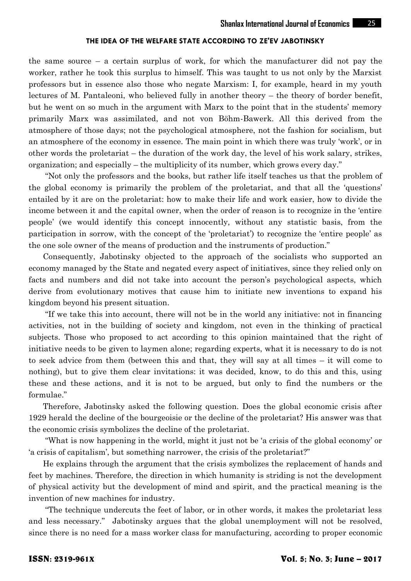the same source – a certain surplus of work, for which the manufacturer did not pay the worker, rather he took this surplus to himself. This was taught to us not only by the Marxist professors but in essence also those who negate Marxism: I, for example, heard in my youth lectures of M. Pantaleoni, who believed fully in another theory – the theory of border benefit, but he went on so much in the argument with Marx to the point that in the students' memory primarily Marx was assimilated, and not von Böhm-Bawerk. All this derived from the atmosphere of those days; not the psychological atmosphere, not the fashion for socialism, but an atmosphere of the economy in essence. The main point in which there was truly 'work', or in other words the proletariat – the duration of the work day, the level of his work salary, strikes, organization; and especially – the multiplicity of its number, which grows every day."

"Not only the professors and the books, but rather life itself teaches us that the problem of the global economy is primarily the problem of the proletariat, and that all the 'questions' entailed by it are on the proletariat: how to make their life and work easier, how to divide the income between it and the capital owner, when the order of reason is to recognize in the 'entire people' (we would identify this concept innocently, without any statistic basis, from the participation in sorrow, with the concept of the 'proletariat') to recognize the 'entire people' as the one sole owner of the means of production and the instruments of production."

Consequently, Jabotinsky objected to the approach of the socialists who supported an economy managed by the State and negated every aspect of initiatives, since they relied only on facts and numbers and did not take into account the person's psychological aspects, which derive from evolutionary motives that cause him to initiate new inventions to expand his kingdom beyond his present situation.

"If we take this into account, there will not be in the world any initiative: not in financing activities, not in the building of society and kingdom, not even in the thinking of practical subjects. Those who proposed to act according to this opinion maintained that the right of initiative needs to be given to laymen alone; regarding experts, what it is necessary to do is not to seek advice from them (between this and that, they will say at all times – it will come to nothing), but to give them clear invitations: it was decided, know, to do this and this, using these and these actions, and it is not to be argued, but only to find the numbers or the formulae."

Therefore, Jabotinsky asked the following question. Does the global economic crisis after 1929 herald the decline of the bourgeoisie or the decline of the proletariat? His answer was that the economic crisis symbolizes the decline of the proletariat.

"What is now happening in the world, might it just not be 'a crisis of the global economy' or 'a crisis of capitalism', but something narrower, the crisis of the proletariat?"

He explains through the argument that the crisis symbolizes the replacement of hands and feet by machines. Therefore, the direction in which humanity is striding is not the development of physical activity but the development of mind and spirit, and the practical meaning is the invention of new machines for industry.

"The technique undercuts the feet of labor, or in other words, it makes the proletariat less and less necessary." Jabotinsky argues that the global unemployment will not be resolved, since there is no need for a mass worker class for manufacturing, according to proper economic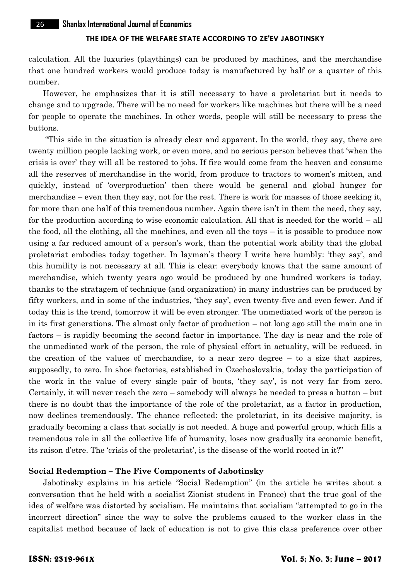calculation. All the luxuries (playthings) can be produced by machines, and the merchandise that one hundred workers would produce today is manufactured by half or a quarter of this number.

However, he emphasizes that it is still necessary to have a proletariat but it needs to change and to upgrade. There will be no need for workers like machines but there will be a need for people to operate the machines. In other words, people will still be necessary to press the buttons.

"This side in the situation is already clear and apparent. In the world, they say, there are twenty million people lacking work, or even more, and no serious person believes that 'when the crisis is over' they will all be restored to jobs. If fire would come from the heaven and consume all the reserves of merchandise in the world, from produce to tractors to women's mitten, and quickly, instead of 'overproduction' then there would be general and global hunger for merchandise – even then they say, not for the rest. There is work for masses of those seeking it, for more than one half of this tremendous number. Again there isn't in them the need, they say, for the production according to wise economic calculation. All that is needed for the world – all the food, all the clothing, all the machines, and even all the toys – it is possible to produce now using a far reduced amount of a person's work, than the potential work ability that the global proletariat embodies today together. In layman's theory I write here humbly: 'they say', and this humility is not necessary at all. This is clear: everybody knows that the same amount of merchandise, which twenty years ago would be produced by one hundred workers is today, thanks to the stratagem of technique (and organization) in many industries can be produced by fifty workers, and in some of the industries, 'they say', even twenty-five and even fewer. And if today this is the trend, tomorrow it will be even stronger. The unmediated work of the person is in its first generations. The almost only factor of production – not long ago still the main one in factors – is rapidly becoming the second factor in importance. The day is near and the role of the unmediated work of the person, the role of physical effort in actuality, will be reduced, in the creation of the values of merchandise, to a near zero degree – to a size that aspires, supposedly, to zero. In shoe factories, established in Czechoslovakia, today the participation of the work in the value of every single pair of boots, 'they say', is not very far from zero. Certainly, it will never reach the zero – somebody will always be needed to press a button – but there is no doubt that the importance of the role of the proletariat, as a factor in production, now declines tremendously. The chance reflected: the proletariat, in its decisive majority, is gradually becoming a class that socially is not needed. A huge and powerful group, which fills a tremendous role in all the collective life of humanity, loses now gradually its economic benefit, its raison d'etre. The 'crisis of the proletariat', is the disease of the world rooted in it?"

#### **Social Redemption – The Five Components of Jabotinsky**

Jabotinsky explains in his article "Social Redemption" (in the article he writes about a conversation that he held with a socialist Zionist student in France) that the true goal of the idea of welfare was distorted by socialism. He maintains that socialism "attempted to go in the incorrect direction" since the way to solve the problems caused to the worker class in the capitalist method because of lack of education is not to give this class preference over other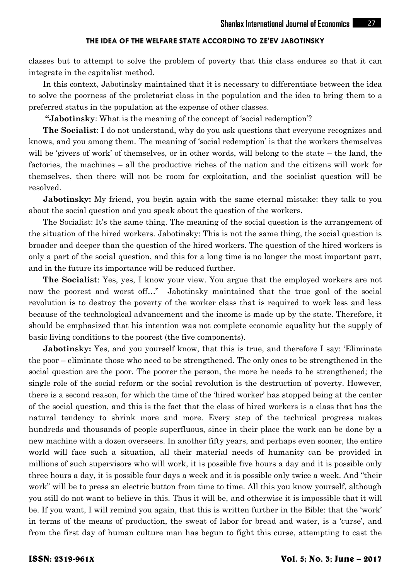classes but to attempt to solve the problem of poverty that this class endures so that it can integrate in the capitalist method.

In this context, Jabotinsky maintained that it is necessary to differentiate between the idea to solve the poorness of the proletariat class in the population and the idea to bring them to a preferred status in the population at the expense of other classes.

**"Jabotinsky**: What is the meaning of the concept of 'social redemption'?

**The Socialist**: I do not understand, why do you ask questions that everyone recognizes and knows, and you among them. The meaning of 'social redemption' is that the workers themselves will be 'givers of work' of themselves, or in other words, will belong to the state – the land, the factories, the machines – all the productive riches of the nation and the citizens will work for themselves, then there will not be room for exploitation, and the socialist question will be resolved.

**Jabotinsky:** My friend, you begin again with the same eternal mistake: they talk to you about the social question and you speak about the question of the workers.

The Socialist: It's the same thing. The meaning of the social question is the arrangement of the situation of the hired workers. Jabotinsky: This is not the same thing, the social question is broader and deeper than the question of the hired workers. The question of the hired workers is only a part of the social question, and this for a long time is no longer the most important part, and in the future its importance will be reduced further.

**The Socialist**: Yes, yes, I know your view. You argue that the employed workers are not now the poorest and worst off…" Jabotinsky maintained that the true goal of the social revolution is to destroy the poverty of the worker class that is required to work less and less because of the technological advancement and the income is made up by the state. Therefore, it should be emphasized that his intention was not complete economic equality but the supply of basic living conditions to the poorest (the five components).

**Jabotinsky:** Yes, and you yourself know, that this is true, and therefore I say: 'Eliminate the poor – eliminate those who need to be strengthened. The only ones to be strengthened in the social question are the poor. The poorer the person, the more he needs to be strengthened; the single role of the social reform or the social revolution is the destruction of poverty. However, there is a second reason, for which the time of the 'hired worker' has stopped being at the center of the social question, and this is the fact that the class of hired workers is a class that has the natural tendency to shrink more and more. Every step of the technical progress makes hundreds and thousands of people superfluous, since in their place the work can be done by a new machine with a dozen overseers. In another fifty years, and perhaps even sooner, the entire world will face such a situation, all their material needs of humanity can be provided in millions of such supervisors who will work, it is possible five hours a day and it is possible only three hours a day, it is possible four days a week and it is possible only twice a week. And "their work" will be to press an electric button from time to time. All this you know yourself, although you still do not want to believe in this. Thus it will be, and otherwise it is impossible that it will be. If you want, I will remind you again, that this is written further in the Bible: that the 'work' in terms of the means of production, the sweat of labor for bread and water, is a 'curse', and from the first day of human culture man has begun to fight this curse, attempting to cast the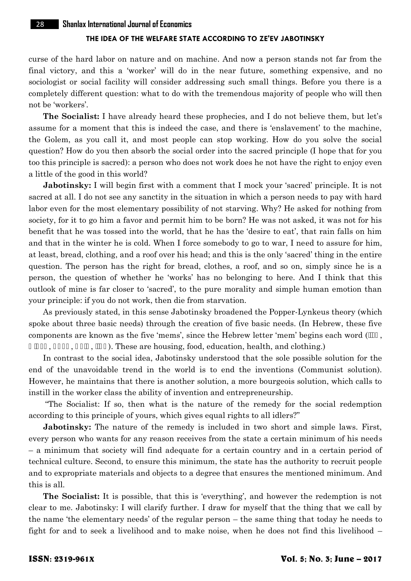curse of the hard labor on nature and on machine. And now a person stands not far from the final victory, and this a 'worker' will do in the near future, something expensive, and no sociologist or social facility will consider addressing such small things. Before you there is a completely different question: what to do with the tremendous majority of people who will then not be 'workers'.

**The Socialist:** I have already heard these prophecies, and I do not believe them, but let's assume for a moment that this is indeed the case, and there is 'enslavement' to the machine, the Golem, as you call it, and most people can stop working. How do you solve the social question? How do you then absorb the social order into the sacred principle (I hope that for you too this principle is sacred): a person who does not work does he not have the right to enjoy even a little of the good in this world?

**Jabotinsky:** I will begin first with a comment that I mock your 'sacred' principle. It is not sacred at all. I do not see any sanctity in the situation in which a person needs to pay with hard labor even for the most elementary possibility of not starving. Why? He asked for nothing from society, for it to go him a favor and permit him to be born? He was not asked, it was not for his benefit that he was tossed into the world, that he has the 'desire to eat', that rain falls on him and that in the winter he is cold. When I force somebody to go to war, I need to assure for him, at least, bread, clothing, and a roof over his head; and this is the only 'sacred' thing in the entire question. The person has the right for bread, clothes, a roof, and so on, simply since he is a person, the question of whether he 'works' has no belonging to here. And I think that this outlook of mine is far closer to 'sacred', to the pure morality and simple human emotion than your principle: if you do not work, then die from starvation.

As previously stated, in this sense Jabotinsky broadened the Popper-Lynkeus theory (which spoke about three basic needs) through the creation of five basic needs. (In Hebrew, these five components are known as the five 'mems', since the Hebrew letter 'mem' begins each word (

a. (b. These are housing, food, education, health, and clothing.)

In contrast to the social idea, Jabotinsky understood that the sole possible solution for the end of the unavoidable trend in the world is to end the inventions (Communist solution). However, he maintains that there is another solution, a more bourgeois solution, which calls to instill in the worker class the ability of invention and entrepreneurship.

"The Socialist: If so, then what is the nature of the remedy for the social redemption according to this principle of yours, which gives equal rights to all idlers?"

**Jabotinsky:** The nature of the remedy is included in two short and simple laws. First, every person who wants for any reason receives from the state a certain minimum of his needs – a minimum that society will find adequate for a certain country and in a certain period of technical culture. Second, to ensure this minimum, the state has the authority to recruit people and to expropriate materials and objects to a degree that ensures the mentioned minimum. And this is all.

**The Socialist:** It is possible, that this is 'everything', and however the redemption is not clear to me. Jabotinsky: I will clarify further. I draw for myself that the thing that we call by the name 'the elementary needs' of the regular person – the same thing that today he needs to fight for and to seek a livelihood and to make noise, when he does not find this livelihood –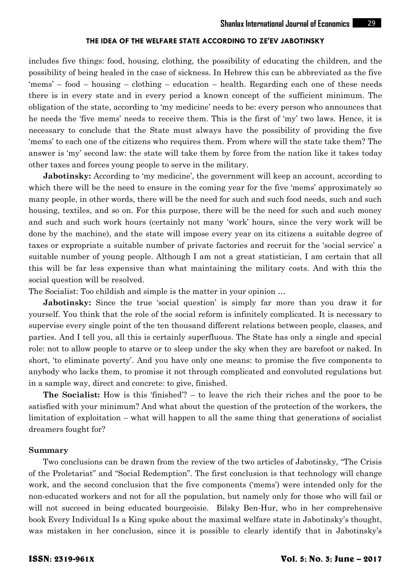includes five things: food, housing, clothing, the possibility of educating the children, and the possibility of being healed in the case of sickness. In Hebrew this can be abbreviated as the five 'mems' – food – housing – clothing – education – health. Regarding each one of these needs there is in every state and in every period a known concept of the sufficient minimum. The obligation of the state, according to 'my medicine' needs to be: every person who announces that he needs the 'five mems' needs to receive them. This is the first of 'my' two laws. Hence, it is necessary to conclude that the State must always have the possibility of providing the five 'mems' to each one of the citizens who requires them. From where will the state take them? The answer is 'my' second law: the state will take them by force from the nation like it takes today other taxes and forces young people to serve in the military.

**Jabotinsky:** According to 'my medicine', the government will keep an account, according to which there will be the need to ensure in the coming year for the five 'mems' approximately so many people, in other words, there will be the need for such and such food needs, such and such housing, textiles, and so on. For this purpose, there will be the need for such and such money and such and such work hours (certainly not many 'work' hours, since the very work will be done by the machine), and the state will impose every year on its citizens a suitable degree of taxes or expropriate a suitable number of private factories and recruit for the 'social service' a suitable number of young people. Although I am not a great statistician, I am certain that all this will be far less expensive than what maintaining the military costs. And with this the social question will be resolved.

The Socialist: Too childish and simple is the matter in your opinion …

**Jabotinsky:** Since the true 'social question' is simply far more than you draw it for yourself. You think that the role of the social reform is infinitely complicated. It is necessary to supervise every single point of the ten thousand different relations between people, classes, and parties. And I tell you, all this is certainly superfluous. The State has only a single and special role: not to allow people to starve or to sleep under the sky when they are barefoot or naked. In short, 'to eliminate poverty'. And you have only one means: to promise the five components to anybody who lacks them, to promise it not through complicated and convoluted regulations but in a sample way, direct and concrete: to give, finished.

**The Socialist:** How is this 'finished'? – to leave the rich their riches and the poor to be satisfied with your minimum? And what about the question of the protection of the workers, the limitation of exploitation – what will happen to all the same thing that generations of socialist dreamers fought for?

#### **Summary**

Two conclusions can be drawn from the review of the two articles of Jabotinsky, "The Crisis of the Proletariat" and "Social Redemption". The first conclusion is that technology will change work, and the second conclusion that the five components ('mems') were intended only for the non-educated workers and not for all the population, but namely only for those who will fail or will not succeed in being educated bourgeoisie. Bilsky Ben-Hur, who in her comprehensive book Every Individual Is a King spoke about the maximal welfare state in Jabotinsky's thought, was mistaken in her conclusion, since it is possible to clearly identify that in Jabotinsky's